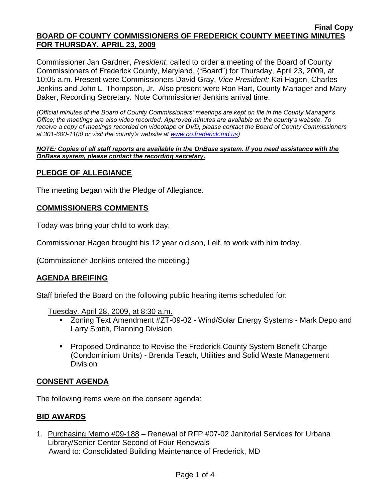Commissioner Jan Gardner, *President*, called to order a meeting of the Board of County Commissioners of Frederick County, Maryland, ("Board") for Thursday, April 23, 2009, at 10:05 a.m. Present were Commissioners David Gray, *Vice President;* Kai Hagen, Charles Jenkins and John L. Thompson, Jr. Also present were Ron Hart, County Manager and Mary Baker, Recording Secretary. Note Commissioner Jenkins arrival time.

*(Official minutes of the Board of County Commissioners' meetings are kept on file in the County Manager's Office; the meetings are also video recorded. Approved minutes are available on the county's website. To receive a copy of meetings recorded on videotape or DVD, please contact the Board of County Commissioners at 301-600-1100 or visit the county's website at [www.co.frederick.md.us\)](http://www.co.frederick.md.us/)*

#### *NOTE: Copies of all staff reports are available in the OnBase system. If you need assistance with the OnBase system, please contact the recording secretary.*

## **PLEDGE OF ALLEGIANCE**

The meeting began with the Pledge of Allegiance.

## **COMMISSIONERS COMMENTS**

Today was bring your child to work day.

Commissioner Hagen brought his 12 year old son, Leif, to work with him today.

(Commissioner Jenkins entered the meeting.)

## **AGENDA BREIFING**

Staff briefed the Board on the following public hearing items scheduled for:

Tuesday, April 28, 2009, at 8:30 a.m.

- Zoning Text Amendment #ZT-09-02 Wind/Solar Energy Systems Mark Depo and Larry Smith, Planning Division
- Proposed Ordinance to Revise the Frederick County System Benefit Charge (Condominium Units) - Brenda Teach, Utilities and Solid Waste Management Division

## **CONSENT AGENDA**

The following items were on the consent agenda:

## **BID AWARDS**

1. Purchasing Memo #09-188 – Renewal of RFP #07-02 Janitorial Services for Urbana Library/Senior Center Second of Four Renewals Award to: Consolidated Building Maintenance of Frederick, MD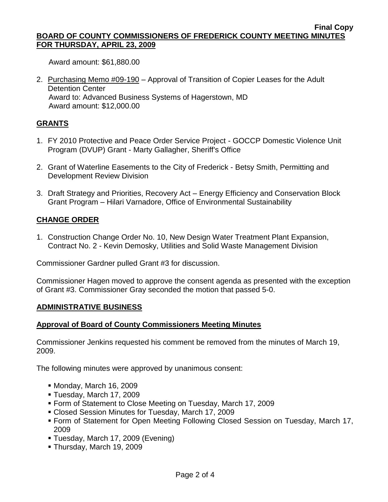Award amount: \$61,880.00

2. Purchasing Memo #09-190 – Approval of Transition of Copier Leases for the Adult Detention Center Award to: Advanced Business Systems of Hagerstown, MD Award amount: \$12,000.00

# **GRANTS**

- 1. FY 2010 Protective and Peace Order Service Project GOCCP Domestic Violence Unit Program (DVUP) Grant - Marty Gallagher, Sheriff's Office
- 2. Grant of Waterline Easements to the City of Frederick Betsy Smith, Permitting and Development Review Division
- 3. Draft Strategy and Priorities, Recovery Act Energy Efficiency and Conservation Block Grant Program – Hilari Varnadore, Office of Environmental Sustainability

## **CHANGE ORDER**

1. Construction Change Order No. 10, New Design Water Treatment Plant Expansion, Contract No. 2 - Kevin Demosky, Utilities and Solid Waste Management Division

Commissioner Gardner pulled Grant #3 for discussion.

Commissioner Hagen moved to approve the consent agenda as presented with the exception of Grant #3. Commissioner Gray seconded the motion that passed 5-0.

## **ADMINISTRATIVE BUSINESS**

## **Approval of Board of County Commissioners Meeting Minutes**

Commissioner Jenkins requested his comment be removed from the minutes of March 19, 2009.

The following minutes were approved by unanimous consent:

- Monday, March 16, 2009
- Tuesday, March 17, 2009
- Form of Statement to Close Meeting on Tuesday, March 17, 2009
- Closed Session Minutes for Tuesday, March 17, 2009
- Form of Statement for Open Meeting Following Closed Session on Tuesday, March 17, 2009
- Tuesday, March 17, 2009 (Evening)
- Thursday, March 19, 2009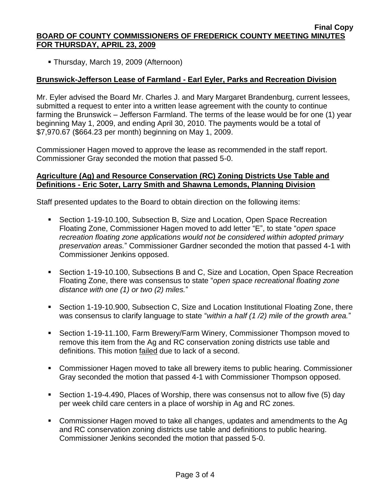Thursday, March 19, 2009 (Afternoon)

# **Brunswick-Jefferson Lease of Farmland - Earl Eyler, Parks and Recreation Division**

Mr. Eyler advised the Board Mr. Charles J. and Mary Margaret Brandenburg, current lessees, submitted a request to enter into a written lease agreement with the county to continue farming the Brunswick – Jefferson Farmland. The terms of the lease would be for one (1) year beginning May 1, 2009, and ending April 30, 2010. The payments would be a total of \$7,970.67 (\$664.23 per month) beginning on May 1, 2009.

Commissioner Hagen moved to approve the lease as recommended in the staff report. Commissioner Gray seconded the motion that passed 5-0.

### **Agriculture (Ag) and Resource Conservation (RC) Zoning Districts Use Table and Definitions - Eric Soter, Larry Smith and Shawna Lemonds, Planning Division**

Staff presented updates to the Board to obtain direction on the following items:

- Section 1-19-10.100, Subsection B, Size and Location, Open Space Recreation Floating Zone, Commissioner Hagen moved to add letter "E", to state "*open space recreation floating zone applications would not be considered within adopted primary preservation areas.*" Commissioner Gardner seconded the motion that passed 4-1 with Commissioner Jenkins opposed.
- Section 1-19-10.100, Subsections B and C, Size and Location, Open Space Recreation Floating Zone, there was consensus to state "*open space recreational floating zone distance with one (1) or two (2) miles.*"
- Section 1-19-10.900, Subsection C, Size and Location Institutional Floating Zone, there was consensus to clarify language to state "*within a half (1 /2) mile of the growth area.*"
- Section 1-19-11.100, Farm Brewery/Farm Winery, Commissioner Thompson moved to remove this item from the Ag and RC conservation zoning districts use table and definitions. This motion failed due to lack of a second.
- **Commissioner Hagen moved to take all brewery items to public hearing. Commissioner** Gray seconded the motion that passed 4-1 with Commissioner Thompson opposed.
- Section 1-19-4.490, Places of Worship, there was consensus not to allow five (5) day per week child care centers in a place of worship in Ag and RC zones.
- Commissioner Hagen moved to take all changes, updates and amendments to the Ag and RC conservation zoning districts use table and definitions to public hearing. Commissioner Jenkins seconded the motion that passed 5-0.